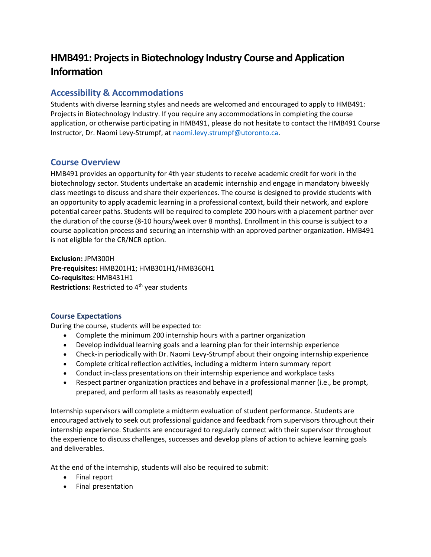# **HMB491: Projectsin Biotechnology Industry Course and Application Information**

# **Accessibility & Accommodations**

Students with diverse learning styles and needs are welcomed and encouraged to apply to HMB491: Projects in Biotechnology Industry. If you require any accommodations in completing the course application, or otherwise participating in HMB491, please do not hesitate to contact the HMB491 Course Instructor, Dr. Naomi Levy-Strumpf, a[t naomi.levy.strumpf@utoronto.ca.](mailto:naomi.levy.strumpf@utoronto.ca)

# **Course Overview**

HMB491 provides an opportunity for 4th year students to receive academic credit for work in the biotechnology sector. Students undertake an academic internship and engage in mandatory biweekly class meetings to discuss and share their experiences. The course is designed to provide students with an opportunity to apply academic learning in a professional context, build their network, and explore potential career paths. Students will be required to complete 200 hours with a placement partner over the duration of the course (8-10 hours/week over 8 months). Enrollment in this course is subject to a course application process and securing an internship with an approved partner organization. HMB491 is not eligible for the CR/NCR option.

**Exclusion:** JPM300H **Pre-requisites:** HMB201H1; HMB301H1/HMB360H1 **Co-requisites:** HMB431H1 **Restrictions: Restricted to 4<sup>th</sup> year students** 

### **Course Expectations**

During the course, students will be expected to:

- Complete the minimum 200 internship hours with a partner organization
- Develop individual learning goals and a learning plan for their internship experience
- Check-in periodically with Dr. Naomi Levy-Strumpf about their ongoing internship experience
- Complete critical reflection activities, including a midterm intern summary report
- Conduct in-class presentations on their internship experience and workplace tasks
- Respect partner organization practices and behave in a professional manner (i.e., be prompt, prepared, and perform all tasks as reasonably expected)

Internship supervisors will complete a midterm evaluation of student performance. Students are encouraged actively to seek out professional guidance and feedback from supervisors throughout their internship experience. Students are encouraged to regularly connect with their supervisor throughout the experience to discuss challenges, successes and develop plans of action to achieve learning goals and deliverables.

At the end of the internship, students will also be required to submit:

- Final report
- Final presentation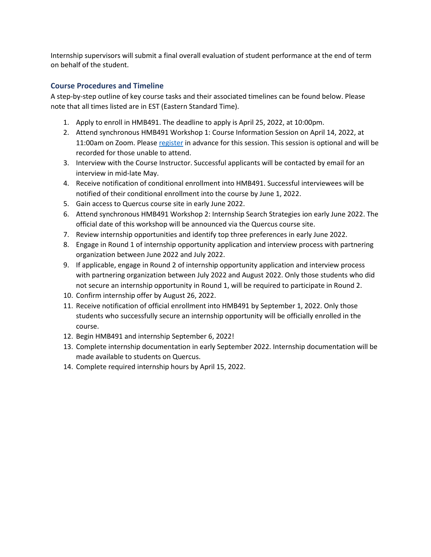on behalf of the student. Internship supervisors will submit a final overall evaluation of student performance at the end of term

### **Course Procedures and Timeline**

A step-by-step outline of key course tasks and their associated timelines can be found below. Please note that all times listed are in EST (Eastern Standard Time).

- 1. Apply to enroll in HMB491. The deadline to apply is April 25, 2022, at 10:00pm.
- 2. Attend synchronous HMB491 Workshop 1: Course Information Session on April 14, 2022, at 11:00am on Zoom. Please [register](https://utoronto.zoom.us/meeting/register/tZIodemqqD8rHNf7ummapeMQ6ev_bUtdmbAl) in advance for this session. This session is optional and will be recorded for those unable to attend.
- 3. Interview with the Course Instructor. Successful applicants will be contacted by email for an interview in mid-late May.
- 4. Receive notification of conditional enrollment into HMB491. Successful interviewees will be notified of their conditional enrollment into the course by June 1, 2022.
- 5. Gain access to Quercus course site in early June 2022.
- 6. Attend synchronous HMB491 Workshop 2: Internship Search Strategies ion early June 2022. The official date of this workshop will be announced via the Quercus course site.
- 7. Review internship opportunities and identify top three preferences in early June 2022.
- 8. Engage in Round 1 of internship opportunity application and interview process with partnering organization between June 2022 and July 2022.
- 9. If applicable, engage in Round 2 of internship opportunity application and interview process with partnering organization between July 2022 and August 2022. Only those students who did not secure an internship opportunity in Round 1, will be required to participate in Round 2.
- 10. Confirm internship offer by August 26, 2022.
- 11. Receive notification of official enrollment into HMB491 by September 1, 2022. Only those students who successfully secure an internship opportunity will be officially enrolled in the course.
- 12. Begin HMB491 and internship September 6, 2022!
- 13. Complete internship documentation in early September 2022. Internship documentation will be made available to students on Quercus.
- 14. Complete required internship hours by April 15, 2022.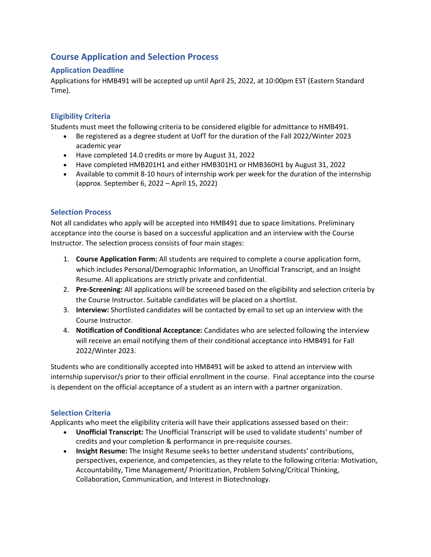# **Course Application and Selection Process**

### **Application Deadline**

Applications for HMB491 will be accepted up until April 25, 2022, at 10:00pm EST (Eastern Standard Time).

## **Eligibility Criteria**

Students must meet the following criteria to be considered eligible for admittance to HMB491.

- Be registered as a degree student at UofT for the duration of the Fall 2022/Winter 2023 academic year
- Have completed 14.0 credits or more by August 31, 2022
- Have completed HMB201H1 and either HMB301H1 or HMB360H1 by August 31, 2022
- Available to commit 8-10 hours of internship work per week for the duration of the internship (approx. September 6, 2022 – April 15, 2022)

### **Selection Process**

Not all candidates who apply will be accepted into HMB491 due to space limitations. Preliminary acceptance into the course is based on a successful application and an interview with the Course Instructor. The selection process consists of four main stages:

- 1. **Course Application Form:** All students are required to complete a course application form, which includes Personal/Demographic Information, an Unofficial Transcript, and an Insight Resume. All applications are strictly private and confidential.
- 2. **Pre-Screening:** All applications will be screened based on the eligibility and selection criteria by the Course Instructor. Suitable candidates will be placed on a shortlist.
- 3. **Interview:** Shortlisted candidates will be contacted by email to set up an interview with the Course Instructor.
- 4. **Notification of Conditional Acceptance:** Candidates who are selected following the interview will receive an email notifying them of their conditional acceptance into HMB491 for Fall 2022/Winter 2023.

Students who are conditionally accepted into HMB491 will be asked to attend an interview with internship supervisor/s prior to their official enrollment in the course. Final acceptance into the course is dependent on the official acceptance of a student as an intern with a partner organization.

## **Selection Criteria**

Applicants who meet the eligibility criteria will have their applications assessed based on their:

- **Unofficial Transcript:** The Unofficial Transcript will be used to validate students' number of credits and your completion & performance in pre-requisite courses.
- **Insight Resume:** The Insight Resume seeks to better understand students' contributions, perspectives, experience, and competencies, as they relate to the following criteria: Motivation, Accountability, Time Management/ Prioritization, Problem Solving/Critical Thinking, Collaboration, Communication, and Interest in Biotechnology.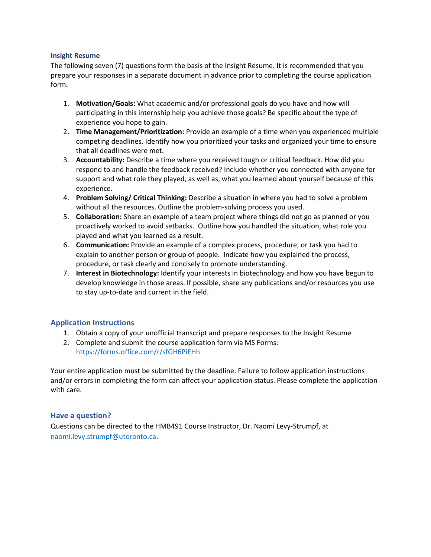#### **Insight Resume**

The following seven (7) questions form the basis of the Insight Resume. It is recommended that you prepare your responses in a separate document in advance prior to completing the course application form.

- 1. **Motivation/Goals:** What academic and/or professional goals do you have and how will participating in this internship help you achieve those goals? Be specific about the type of experience you hope to gain.
- 2. **Time Management/Prioritization:** Provide an example of a time when you experienced multiple competing deadlines. Identify how you prioritized your tasks and organized your time to ensure that all deadlines were met.
- 3. **Accountability:** Describe a time where you received tough or critical feedback. How did you respond to and handle the feedback received? Include whether you connected with anyone for support and what role they played, as well as, what you learned about yourself because of this experience.
- 4. **Problem Solving/ Critical Thinking:** Describe a situation in where you had to solve a problem without all the resources. Outline the problem-solving process you used.
- 5. **Collaboration:** Share an example of a team project where things did not go as planned or you proactively worked to avoid setbacks. Outline how you handled the situation, what role you played and what you learned as a result.
- 6. **Communication:** Provide an example of a complex process, procedure, or task you had to explain to another person or group of people. Indicate how you explained the process, procedure, or task clearly and concisely to promote understanding.
- 7. **Interest in Biotechnology:** Identify your interests in biotechnology and how you have begun to develop knowledge in those areas. If possible, share any publications and/or resources you use to stay up-to-date and current in the field.

#### **Application Instructions**

- 1. Obtain a copy of your unofficial transcript and prepare responses to the Insight Resume
- 2. Complete and submit the course application form via MS Forms: <https://forms.office.com/r/sfGH6PiEHh>

Your entire application must be submitted by the deadline. Failure to follow application instructions and/or errors in completing the form can affect your application status. Please complete the application with care.

#### **Have a question?**

Questions can be directed to the HMB491 Course Instructor, Dr. Naomi Levy-Strumpf, at [naomi.levy.strumpf@utoronto.ca.](mailto:naomi.levy.strumpf@utoronto.ca)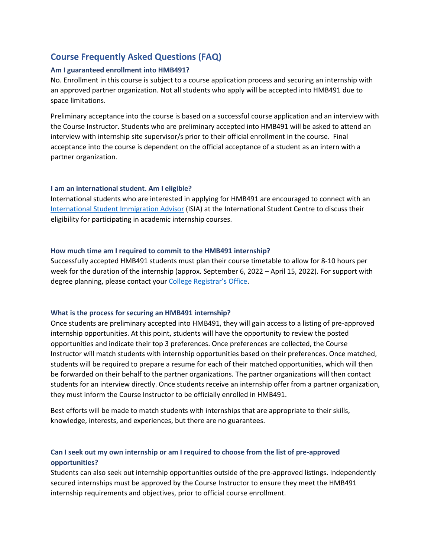# **Course Frequently Asked Questions (FAQ)**

#### **Am I guaranteed enrollment into HMB491?**

No. Enrollment in this course is subject to a course application process and securing an internship with an approved partner organization. Not all students who apply will be accepted into HMB491 due to space limitations.

Preliminary acceptance into the course is based on a successful course application and an interview with the Course Instructor. Students who are preliminary accepted into HMB491 will be asked to attend an interview with internship site supervisor/s prior to their official enrollment in the course. Final acceptance into the course is dependent on the official acceptance of a student as an intern with a partner organization.

#### **I am an international student. Am I eligible?**

International students who are interested in applying for HMB491 are encouraged to connect with an [International Student Immigration Advisor](https://internationalexperience.utoronto.ca/international-student-services/immigration/resources/connecting-with-isias/) (ISIA) at the International Student Centre to discuss their eligibility for participating in academic internship courses.

#### **How much time am I required to commit to the HMB491 internship?**

Successfully accepted HMB491 students must plan their course timetable to allow for 8-10 hours per week for the duration of the internship (approx. September 6, 2022 – April 15, 2022). For support with degree planning, please contact your [College Registrar's Office](https://www.artsci.utoronto.ca/current/academic-advising-and-support/college-registrars-offices).

#### **What is the process for securing an HMB491 internship?**

Once students are preliminary accepted into HMB491, they will gain access to a listing of pre-approved internship opportunities. At this point, students will have the opportunity to review the posted opportunities and indicate their top 3 preferences. Once preferences are collected, the Course Instructor will match students with internship opportunities based on their preferences. Once matched, students will be required to prepare a resume for each of their matched opportunities, which will then be forwarded on their behalf to the partner organizations. The partner organizations will then contact students for an interview directly. Once students receive an internship offer from a partner organization, they must inform the Course Instructor to be officially enrolled in HMB491.

 knowledge, interests, and experiences, but there are no guarantees. Best efforts will be made to match students with internships that are appropriate to their skills,

### **Can I seek out my own internship or am I required to choose from the list of pre-approved opportunities?**

Students can also seek out internship opportunities outside of the pre-approved listings. Independently secured internships must be approved by the Course Instructor to ensure they meet the HMB491 internship requirements and objectives, prior to official course enrollment.